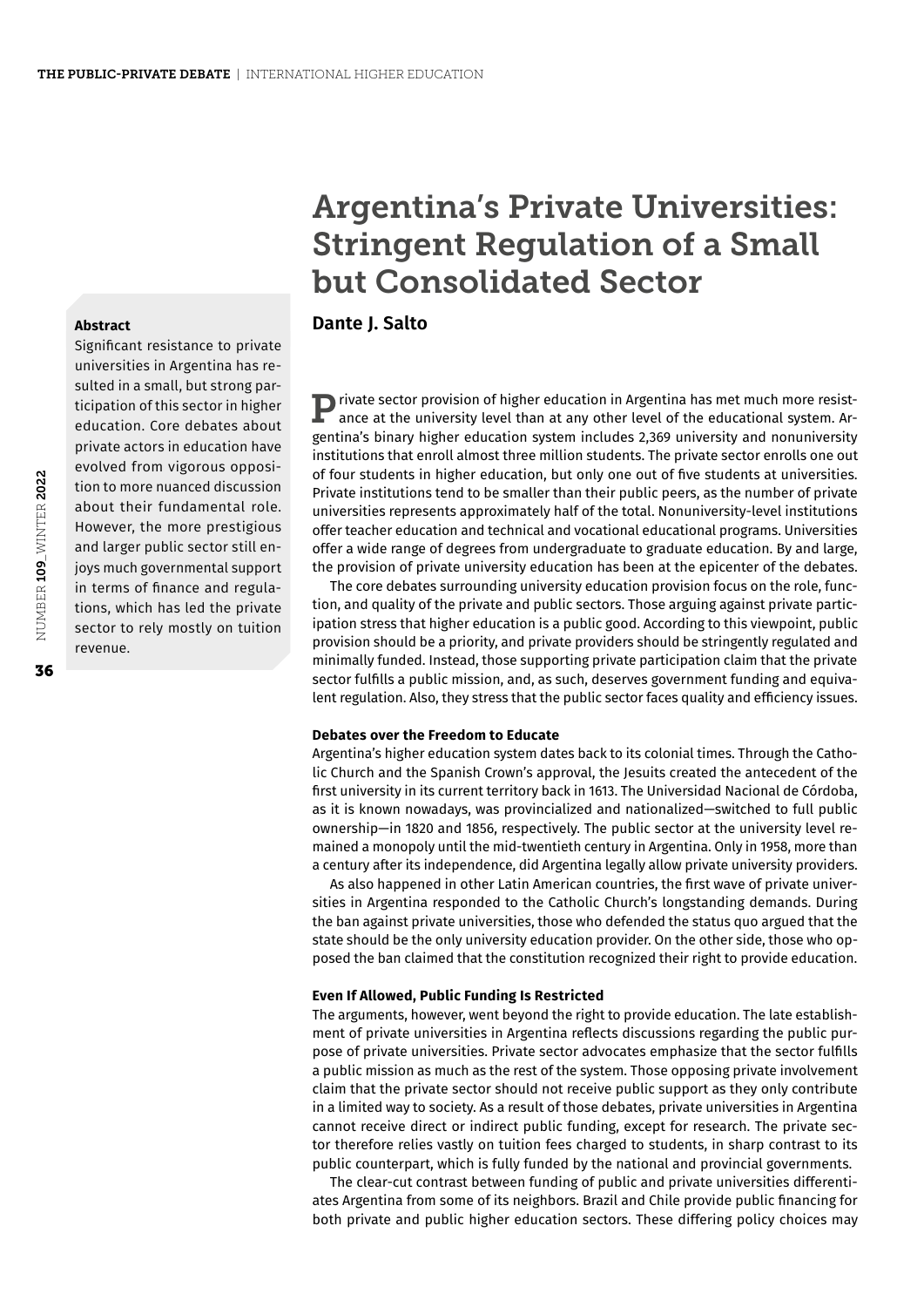# Argentina's Private Universities: Stringent Regulation of a Small but Consolidated Sector

## **Dante J. Salto**

**P** rivate sector provision of higher education in Argentina has met much more resistance at the university level than at any other level of the educational system. Argentina's binary higher education system includes 2,369 university and nonuniversity institutions that enroll almost three million students. The private sector enrolls one out of four students in higher education, but only one out of five students at universities. Private institutions tend to be smaller than their public peers, as the number of private universities represents approximately half of the total. Nonuniversity-level institutions offer teacher education and technical and vocational educational programs. Universities offer a wide range of degrees from undergraduate to graduate education. By and large, the provision of private university education has been at the epicenter of the debates.

The core debates surrounding university education provision focus on the role, function, and quality of the private and public sectors. Those arguing against private participation stress that higher education is a public good. According to this viewpoint, public provision should be a priority, and private providers should be stringently regulated and minimally funded. Instead, those supporting private participation claim that the private sector fulfills a public mission, and, as such, deserves government funding and equivalent regulation. Also, they stress that the public sector faces quality and efficiency issues.

#### **Debates over the Freedom to Educate**

Argentina's higher education system dates back to its colonial times. Through the Catholic Church and the Spanish Crown's approval, the Jesuits created the antecedent of the first university in its current territory back in 1613. The Universidad Nacional de Córdoba, as it is known nowadays, was provincialized and nationalized—switched to full public ownership—in 1820 and 1856, respectively. The public sector at the university level remained a monopoly until the mid-twentieth century in Argentina. Only in 1958, more than a century after its independence, did Argentina legally allow private university providers.

As also happened in other Latin American countries, the first wave of private universities in Argentina responded to the Catholic Church's longstanding demands. During the ban against private universities, those who defended the status quo argued that the state should be the only university education provider. On the other side, those who opposed the ban claimed that the constitution recognized their right to provide education.

#### **Even If Allowed, Public Funding Is Restricted**

The arguments, however, went beyond the right to provide education. The late establishment of private universities in Argentina reflects discussions regarding the public purpose of private universities. Private sector advocates emphasize that the sector fulfills a public mission as much as the rest of the system. Those opposing private involvement claim that the private sector should not receive public support as they only contribute in a limited way to society. As a result of those debates, private universities in Argentina cannot receive direct or indirect public funding, except for research. The private sector therefore relies vastly on tuition fees charged to students, in sharp contrast to its public counterpart, which is fully funded by the national and provincial governments.

The clear-cut contrast between funding of public and private universities differentiates Argentina from some of its neighbors. Brazil and Chile provide public financing for both private and public higher education sectors. These differing policy choices may

**Abstract**

universities in Argentina has resulted in a small, but strong participation of this sector in higher education. Core debates about private actors in education have evolved from vigorous opposition to more nuanced discussion about their fundamental role. However, the more prestigious and larger public sector still enjoys much governmental support in terms of finance and regulations, which has led the private sector to rely mostly on tuition revenue.

Significant resistance to private